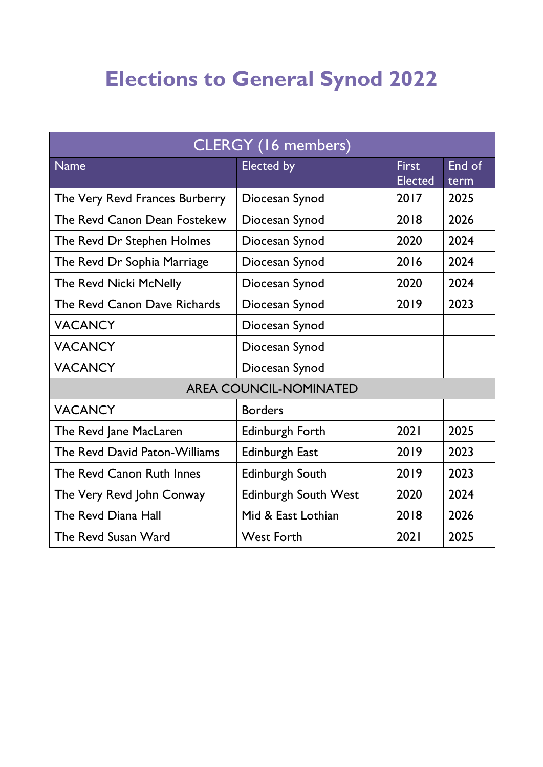# **Elections to General Synod 2022**

| CLERGY (16 members)            |                             |                                |                |  |
|--------------------------------|-----------------------------|--------------------------------|----------------|--|
| <b>Name</b>                    | Elected by                  | <b>First</b><br><b>Elected</b> | End of<br>term |  |
| The Very Revd Frances Burberry | Diocesan Synod              | 2017                           | 2025           |  |
| The Revd Canon Dean Fostekew   | Diocesan Synod              | 2018                           | 2026           |  |
| The Revd Dr Stephen Holmes     | Diocesan Synod              | 2020                           | 2024           |  |
| The Revd Dr Sophia Marriage    | Diocesan Synod              | 2016                           | 2024           |  |
| The Revd Nicki McNelly         | Diocesan Synod              | 2020                           | 2024           |  |
| The Revd Canon Dave Richards   | Diocesan Synod              | 2019                           | 2023           |  |
| <b>VACANCY</b>                 | Diocesan Synod              |                                |                |  |
| <b>VACANCY</b>                 | Diocesan Synod              |                                |                |  |
| <b>VACANCY</b>                 | Diocesan Synod              |                                |                |  |
| <b>AREA COUNCIL-NOMINATED</b>  |                             |                                |                |  |
| <b>VACANCY</b>                 | <b>Borders</b>              |                                |                |  |
| The Revd Jane MacLaren         | Edinburgh Forth             | 2021                           | 2025           |  |
| The Revd David Paton-Williams  | Edinburgh East              | 2019                           | 2023           |  |
| The Revd Canon Ruth Innes      | Edinburgh South             | 2019                           | 2023           |  |
| The Very Revd John Conway      | <b>Edinburgh South West</b> | 2020                           | 2024           |  |
| The Revd Diana Hall            | Mid & East Lothian          | 2018                           | 2026           |  |
| The Revd Susan Ward            | <b>West Forth</b>           | 2021                           | 2025           |  |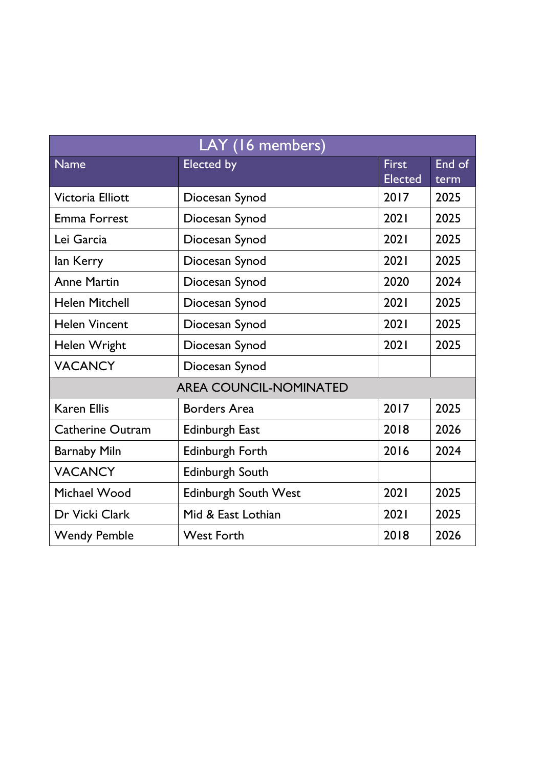| LAY (16 members)              |                             |                                |                |  |
|-------------------------------|-----------------------------|--------------------------------|----------------|--|
| <b>Name</b>                   | <b>Elected by</b>           | <b>First</b><br><b>Elected</b> | End of<br>term |  |
| Victoria Elliott              | Diocesan Synod              | 2017                           | 2025           |  |
| <b>Emma Forrest</b>           | Diocesan Synod              | 2021                           | 2025           |  |
| Lei Garcia                    | Diocesan Synod              | 2021                           | 2025           |  |
| lan Kerry                     | Diocesan Synod              | 2021                           | 2025           |  |
| <b>Anne Martin</b>            | Diocesan Synod              | 2020                           | 2024           |  |
| <b>Helen Mitchell</b>         | Diocesan Synod              | 2021                           | 2025           |  |
| <b>Helen Vincent</b>          | Diocesan Synod              | 2021                           | 2025           |  |
| Helen Wright                  | Diocesan Synod              | 2021                           | 2025           |  |
| <b>VACANCY</b>                | Diocesan Synod              |                                |                |  |
| <b>AREA COUNCIL-NOMINATED</b> |                             |                                |                |  |
| <b>Karen Ellis</b>            | <b>Borders Area</b>         | 2017                           | 2025           |  |
| <b>Catherine Outram</b>       | <b>Edinburgh East</b>       | 2018                           | 2026           |  |
| <b>Barnaby Miln</b>           | Edinburgh Forth             | 2016                           | 2024           |  |
| <b>VACANCY</b>                | Edinburgh South             |                                |                |  |
| Michael Wood                  | <b>Edinburgh South West</b> | 2021                           | 2025           |  |
| Dr Vicki Clark                | Mid & East Lothian          | 2021                           | 2025           |  |
| <b>Wendy Pemble</b>           | <b>West Forth</b>           | 2018                           | 2026           |  |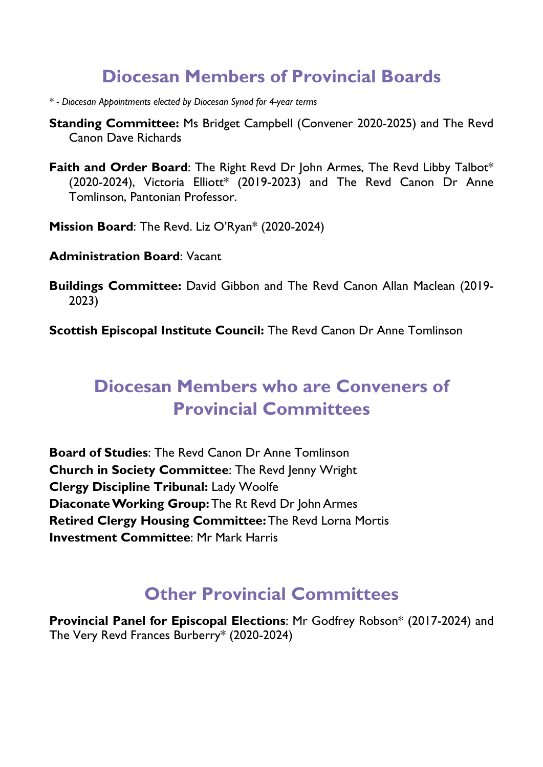### **Diocesan Members of Provincial Boards**

- *\* - Diocesan Appointments elected by Diocesan Synod for 4-year terms*
- **Standing Committee:** Ms Bridget Campbell (Convener 2020-2025) and The Revd Canon Dave Richards
- **Faith and Order Board:** The Right Revd Dr John Armes, The Revd Libby Talbot\* (2020-2024), Victoria Elliott\* (2019-2023) and The Revd Canon Dr Anne Tomlinson, Pantonian Professor.
- **Mission Board**: The Revd. Liz O'Ryan\* (2020-2024)
- **Administration Board**: Vacant
- **Buildings Committee:** David Gibbon and The Revd Canon Allan Maclean (2019- 2023)

**Scottish Episcopal Institute Council:** The Revd Canon Dr Anne Tomlinson

# **Diocesan Members who are Conveners of Provincial Committees**

**Board of Studies**: The Revd Canon Dr Anne Tomlinson **Church in Society Committee**: The Revd Jenny Wright **Clergy Discipline Tribunal:** Lady Woolfe **Diaconate Working Group:**The Rt Revd Dr John Armes **Retired Clergy Housing Committee:**The Revd Lorna Mortis **Investment Committee**: Mr Mark Harris

## **Other Provincial Committees**

**Provincial Panel for Episcopal Elections**: Mr Godfrey Robson\* (2017-2024) and The Very Revd Frances Burberry\* (2020-2024)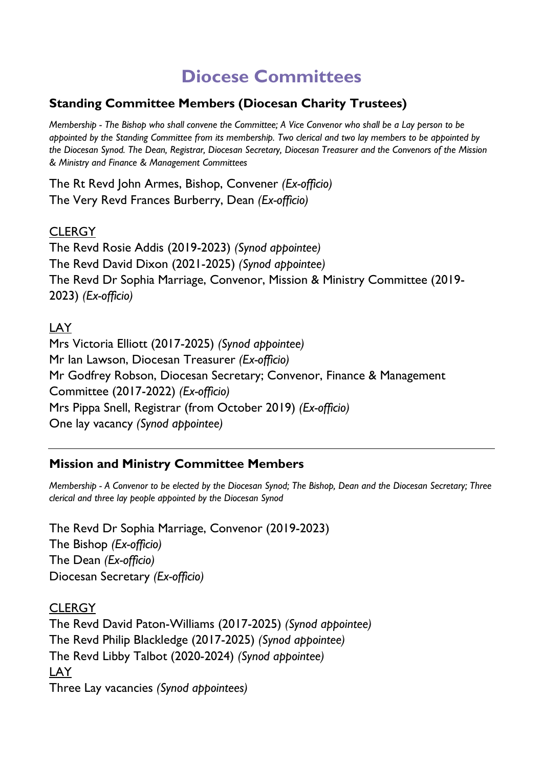## **Diocese Committees**

#### **Standing Committee Members (Diocesan Charity Trustees)**

*Membership - The Bishop who shall convene the Committee; A Vice Convenor who shall be a Lay person to be appointed by the Standing Committee from its membership. Two clerical and two lay members to be appointed by the Diocesan Synod. The Dean, Registrar, Diocesan Secretary, Diocesan Treasurer and the Convenors of the Mission & Ministry and Finance & Management Committees*

The Rt Revd John Armes, Bishop, Convener *(Ex-officio)* The Very Revd Frances Burberry, Dean *(Ex-officio)*

#### **CLERGY**

The Revd Rosie Addis (2019-2023) *(Synod appointee)* The Revd David Dixon (2021-2025) *(Synod appointee)* The Revd Dr Sophia Marriage, Convenor, Mission & Ministry Committee (2019- 2023) *(Ex-officio)*

#### **LAY**

Mrs Victoria Elliott (2017-2025) *(Synod appointee)* Mr Ian Lawson, Diocesan Treasurer *(Ex-officio)* Mr Godfrey Robson, Diocesan Secretary; Convenor, Finance & Management Committee (2017-2022) *(Ex-officio)* Mrs Pippa Snell, Registrar (from October 2019) *(Ex-officio)* One lay vacancy *(Synod appointee)*

#### **Mission and Ministry Committee Members**

*Membership - A Convenor to be elected by the Diocesan Synod; The Bishop, Dean and the Diocesan Secretary; Three clerical and three lay people appointed by the Diocesan Synod*

The Revd Dr Sophia Marriage, Convenor (2019-2023) The Bishop *(Ex-officio)* The Dean *(Ex-officio)* Diocesan Secretary *(Ex-officio)*

**CLERGY** The Revd David Paton-Williams (2017-2025) *(Synod appointee)* The Revd Philip Blackledge (2017-2025) *(Synod appointee)* The Revd Libby Talbot (2020-2024) *(Synod appointee)* LAY Three Lay vacancies *(Synod appointees)*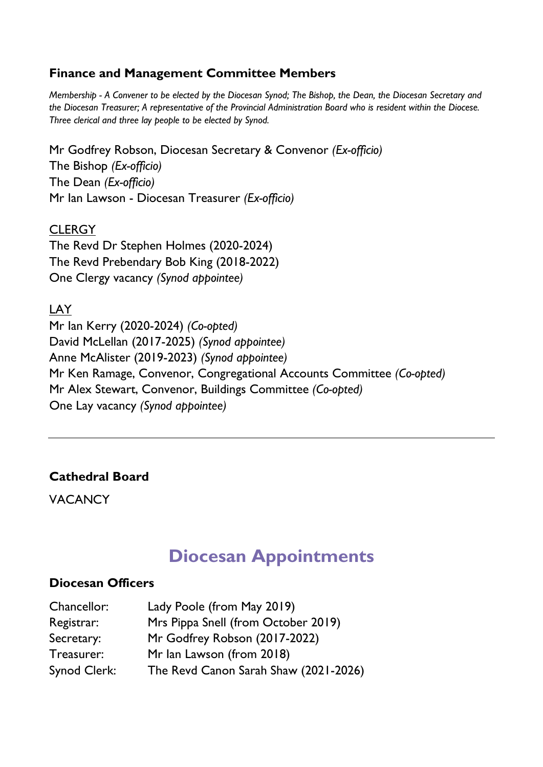#### **Finance and Management Committee Members**

*Membership - A Convener to be elected by the Diocesan Synod; The Bishop, the Dean, the Diocesan Secretary and the Diocesan Treasurer; A representative of the Provincial Administration Board who is resident within the Diocese. Three clerical and three lay people to be elected by Synod.*

Mr Godfrey Robson, Diocesan Secretary & Convenor *(Ex-officio)* The Bishop *(Ex-officio)* The Dean *(Ex-officio)* Mr Ian Lawson - Diocesan Treasurer *(Ex-officio)*

**CLERGY** The Revd Dr Stephen Holmes (2020-2024) The Revd Prebendary Bob King (2018-2022) One Clergy vacancy *(Synod appointee)*

LAY Mr Ian Kerry (2020-2024) *(Co-opted)* David McLellan (2017-2025) *(Synod appointee)* Anne McAlister (2019-2023) *(Synod appointee)* Mr Ken Ramage, Convenor, Congregational Accounts Committee *(Co-opted)* Mr Alex Stewart, Convenor, Buildings Committee *(Co-opted)* One Lay vacancy *(Synod appointee)*

#### **Cathedral Board**

VACANCY

### **Diocesan Appointments**

#### **Diocesan Officers**

| Chancellor:  | Lady Poole (from May 2019)            |
|--------------|---------------------------------------|
| Registrar:   | Mrs Pippa Snell (from October 2019)   |
| Secretary:   | Mr Godfrey Robson (2017-2022)         |
| Treasurer:   | Mr Ian Lawson (from 2018)             |
| Synod Clerk: | The Revd Canon Sarah Shaw (2021-2026) |